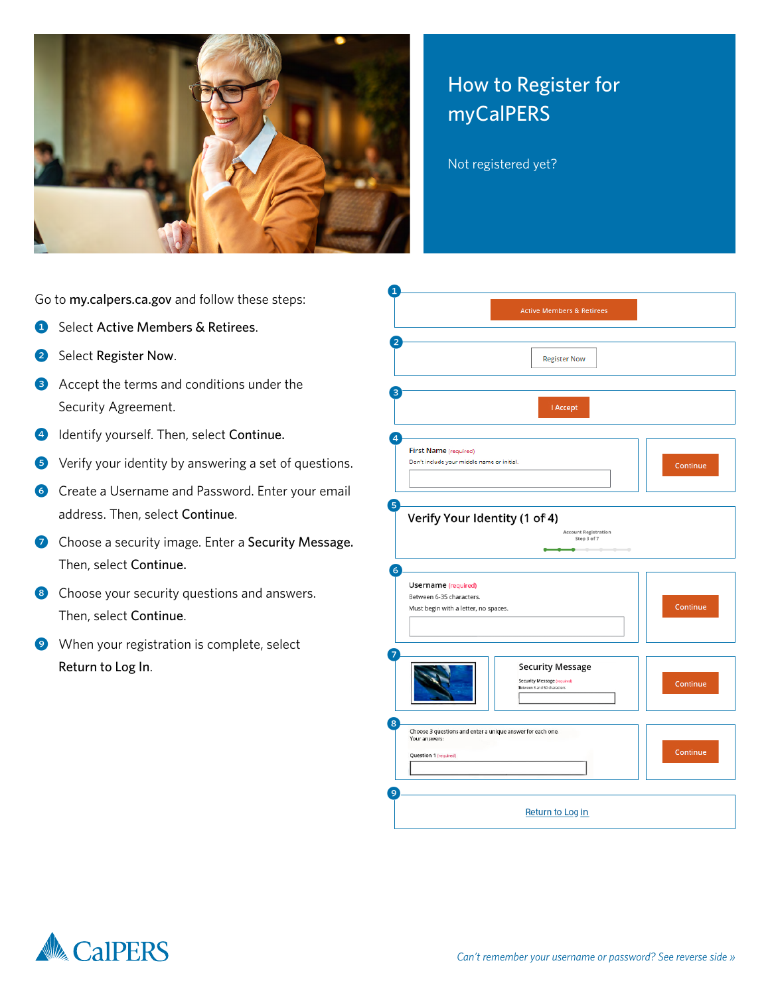

## How to Register for myCalPERS

Not registered yet?

Go to my.calpers.ca.gov and follow these steps:

- **1** Select Active Members & Retirees.
- 2 Select Register Now.
- **3** Accept the terms and conditions under the Security Agreement.
- 4 Identify yourself. Then, select Continue.
- 5 Verify your identity by answering a set of questions.
- **6** Create a Username and Password. Enter your email address. Then, select Continue.
- **7** Choose a security image. Enter a Security Message. Then, select Continue.
- 8 Choose your security questions and answers. Then, select Continue.
- 9 When your registration is complete, select Return to Log In.